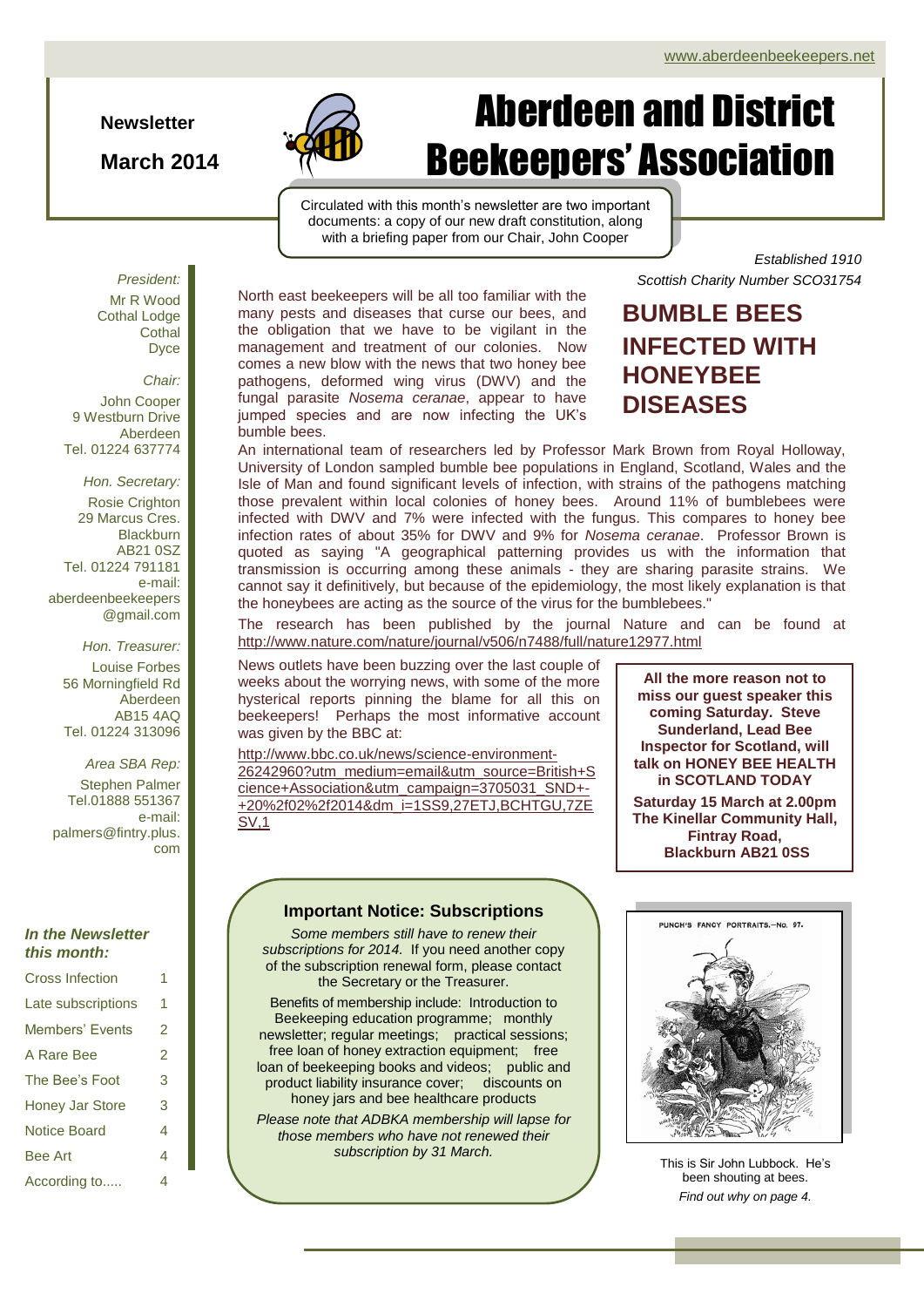**Newsletter**

**March 2014**



# Aberdeen and District Beekeepers' Association

Circulated with this month's newsletter are two important documents: a copy of our new draft constitution, along with a briefing paper from our Chair, John Cooper

*President:* Mr R Wood Cothal Lodge **Cothal** Dyce

*Chair:* John Cooper

9 Westburn Drive Aberdeen Tel. 01224 637774

*Hon. Secretary:* Rosie Crighton 29 Marcus Cres. **Blackburn** AB21 0SZ Tel. 01224 791181 e-mail: aberdeenbeekeepers @gmail.com

*Hon. Treasurer:* Louise Forbes 56 Morningfield Rd Aberdeen AB15 4AQ Tel. 01224 313096

*Area SBA Rep:*

Stephen Palmer Tel.01888 551367 e-mail: palmers@fintry.plus. com

#### *In the Newsletter this month:*

| <b>Cross Infection</b> | 1 |
|------------------------|---|
| Late subscriptions     | 1 |
| Members' Events        | 2 |
| A Rare Bee             | 2 |
| The Bee's Foot         | 3 |
| <b>Honey Jar Store</b> | 3 |
| <b>Notice Board</b>    | 4 |
| <b>Bee Art</b>         | 4 |
| According to           | 4 |

North east beekeepers will be all too familiar with the many pests and diseases that curse our bees, and the obligation that we have to be vigilant in the management and treatment of our colonies. Now comes a new blow with the news that two honey bee pathogens, deformed wing virus (DWV) and the fungal parasite *Nosema ceranae*, appear to have jumped species and are now infecting the UK's bumble bees.

#### *Established 1910 Scottish Charity Number SCO31754*

## **BUMBLE BEES INFECTED WITH HONEYBEE DISEASES**

An international team of researchers led by Professor Mark Brown from Royal Holloway, University of London sampled bumble bee populations in England, Scotland, Wales and the Isle of Man and found significant levels of infection, with strains of the pathogens matching those prevalent within local colonies of honey bees. Around 11% of bumblebees were infected with DWV and 7% were infected with the fungus. This compares to honey bee infection rates of about 35% for DWV and 9% for *Nosema ceranae*. Professor Brown is quoted as saying "A geographical patterning provides us with the information that transmission is occurring among these animals - they are sharing parasite strains. We cannot say it definitively, but because of the epidemiology, the most likely explanation is that the honeybees are acting as the source of the virus for the bumblebees."

The research has been published by the journal Nature and can be found at <http://www.nature.com/nature/journal/v506/n7488/full/nature12977.html>

News outlets have been buzzing over the last couple of weeks about the worrying news, with some of the more hysterical reports pinning the blame for all this on beekeepers! Perhaps the most informative account was given by the BBC at:

[http://www.bbc.co.uk/news/science-environment-](http://www.bbc.co.uk/news/science-environment-26242960?utm_medium=email&utm_source=British+Science+Association&utm_campaign=3705031_SND+-+20%2f02%2f2014&dm_i=1SS9,27ETJ,BCHTGU,7ZESV,1)[26242960?utm\\_medium=email&utm\\_source=British+S](http://www.bbc.co.uk/news/science-environment-26242960?utm_medium=email&utm_source=British+Science+Association&utm_campaign=3705031_SND+-+20%2f02%2f2014&dm_i=1SS9,27ETJ,BCHTGU,7ZESV,1) [cience+Association&utm\\_campaign=3705031\\_SND+-](http://www.bbc.co.uk/news/science-environment-26242960?utm_medium=email&utm_source=British+Science+Association&utm_campaign=3705031_SND+-+20%2f02%2f2014&dm_i=1SS9,27ETJ,BCHTGU,7ZESV,1) [+20%2f02%2f2014&dm\\_i=1SS9,27ETJ,BCHTGU,7ZE](http://www.bbc.co.uk/news/science-environment-26242960?utm_medium=email&utm_source=British+Science+Association&utm_campaign=3705031_SND+-+20%2f02%2f2014&dm_i=1SS9,27ETJ,BCHTGU,7ZESV,1) [SV,1](http://www.bbc.co.uk/news/science-environment-26242960?utm_medium=email&utm_source=British+Science+Association&utm_campaign=3705031_SND+-+20%2f02%2f2014&dm_i=1SS9,27ETJ,BCHTGU,7ZESV,1)

#### **Important Notice: Subscriptions**

*Some members still have to renew their subscriptions for 2014.* If you need another copy of the subscription renewal form, please contact the Secretary or the Treasurer.

Benefits of membership include:Introduction to Beekeeping education programme; monthly newsletter; regular meetings; practical sessions; free loan of honey extraction equipment; free loan of beekeeping books and videos; public and product liability insurance cover; discounts on honey jars and bee healthcare products

*Please note that ADBKA membership will lapse for those members who have not renewed their subscription by 31 March.*

**All the more reason not to miss our guest speaker this coming Saturday. Steve Sunderland, Lead Bee Inspector for Scotland, will talk on HONEY BEE HEALTH in SCOTLAND TODAY Saturday 15 March at 2.00pm The Kinellar Community Hall, Fintray Road, Blackburn AB21 0SS**



[This is Sir John Lubbock. He'](http://upload.wikimedia.org/wikipedia/commons/6/6b/John_lubbock_cartoon.png)s been shouting at bees. *Find out why on page 4.*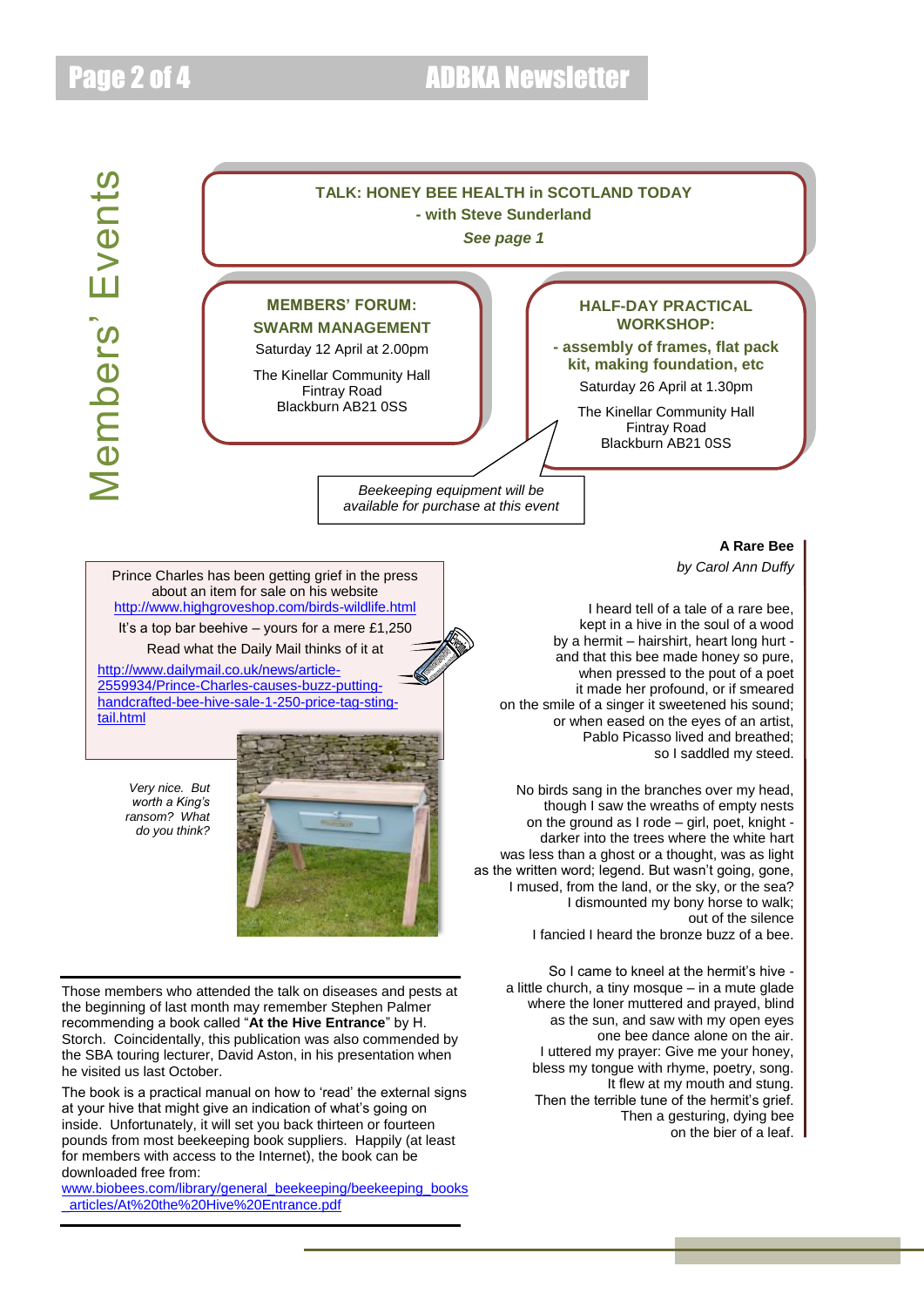

Then a gesturing, dying bee on the bier of a leaf.

The book is a practical manual on how to 'read' the external signs at your hive that might give an indication of what's going on inside. Unfortunately, it will set you back thirteen or fourteen pounds from most beekeeping book suppliers. Happily (at least for members with access to the Internet), the book can be downloaded free from:

[www.biobees.com/library/general\\_beekeeping/beekeeping\\_books](http://www.biobees.com/library/general_beekeeping/beekeeping_books_articles/At%20the%20Hive%20Entrance.pdf) [\\_articles/At%20the%20Hive%20Entrance.pdf](http://www.biobees.com/library/general_beekeeping/beekeeping_books_articles/At%20the%20Hive%20Entrance.pdf)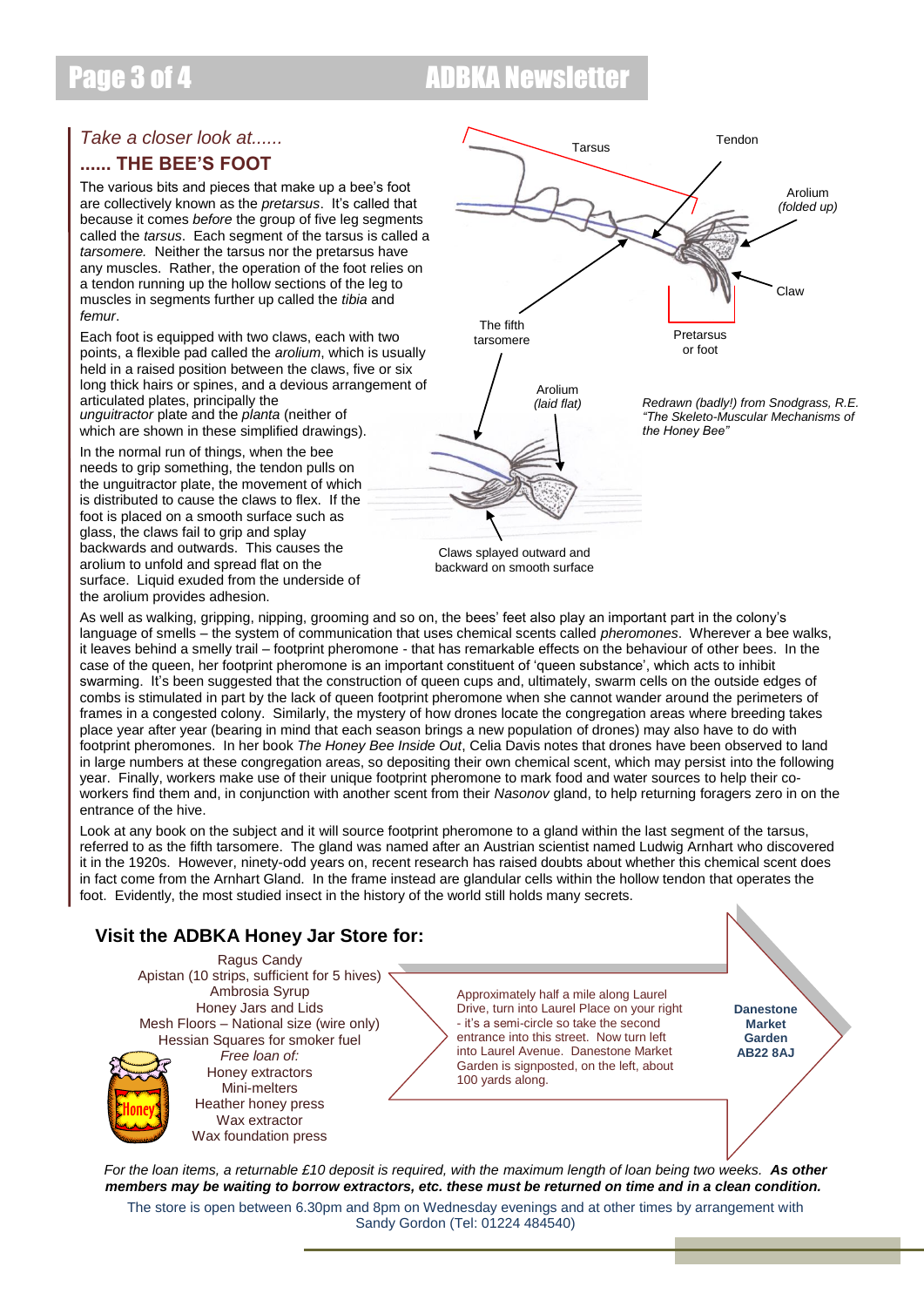## Page 3 of 4 **ADBKA Newsletter**

## *Take a closer look at......*

### **...... THE BEE'S FOOT**

The various bits and pieces that make up a bee's foot are collectively known as the *pretarsus*. It's called that because it comes *before* the group of five leg segments called the *tarsus*. Each segment of the tarsus is called a *tarsomere.* Neither the tarsus nor the pretarsus have any muscles. Rather, the operation of the foot relies on a tendon running up the hollow sections of the leg to muscles in segments further up called the *tibia* and *femur*.

Each foot is equipped with two claws, each with two points, a flexible pad called the *arolium*, which is usually held in a raised position between the claws, five or six long thick hairs or spines, and a devious arrangement of articulated plates, principally the *unguitractor* plate and the *planta* (neither of

which are shown in these simplified drawings).

In the normal run of things, when the bee needs to grip something, the tendon pulls on the unguitractor plate, the movement of which is distributed to cause the claws to flex. If the foot is placed on a smooth surface such as glass, the claws fail to grip and splay backwards and outwards. This causes the arolium to unfold and spread flat on the surface. Liquid exuded from the underside of the arolium provides adhesion.



Claws splayed outward and backward on smooth surface

As well as walking, gripping, nipping, grooming and so on, the bees' feet also play an important part in the colony's language of smells – the system of communication that uses chemical scents called *pheromones*. Wherever a bee walks, it leaves behind a smelly trail – footprint pheromone - that has remarkable effects on the behaviour of other bees. In the case of the queen, her footprint pheromone is an important constituent of 'queen substance', which acts to inhibit swarming. It's been suggested that the construction of queen cups and, ultimately, swarm cells on the outside edges of combs is stimulated in part by the lack of queen footprint pheromone when she cannot wander around the perimeters of frames in a congested colony. Similarly, the mystery of how drones locate the congregation areas where breeding takes place year after year (bearing in mind that each season brings a new population of drones) may also have to do with footprint pheromones. In her book *The Honey Bee Inside Out*, Celia Davis notes that drones have been observed to land in large numbers at these congregation areas, so depositing their own chemical scent, which may persist into the following year. Finally, workers make use of their unique footprint pheromone to mark food and water sources to help their coworkers find them and, in conjunction with another scent from their *Nasonov* gland, to help returning foragers zero in on the entrance of the hive.

Look at any book on the subject and it will source footprint pheromone to a gland within the last segment of the tarsus, referred to as the fifth tarsomere. The gland was named after an Austrian scientist named Ludwig Arnhart who discovered it in the 1920s. However, ninety-odd years on, recent research has raised doubts about whether this chemical scent does in fact come from the Arnhart Gland. In the frame instead are glandular cells within the hollow tendon that operates the foot. Evidently, the most studied insect in the history of the world still holds many secrets.

### **Visit the ADBKA Honey Jar Store for:**

Ragus Candy Apistan (10 strips, sufficient for 5 hives) Ambrosia Syrup Honey Jars and Lids Mesh Floors – National size (wire only) Hessian Squares for smoker fuel *Free loan of:*

Honey extractors Mini-melters Heather honey press Wax extractor Wax foundation press Approximately half a mile along Laurel Drive, turn into Laurel Place on your right - it's a semi-circle so take the second entrance into this street. Now turn left into Laurel Avenue. Danestone Market Garden is signposted, on the left, about 100 yards along.

**Danestone Market Garden AB22 8AJ**

*For the loan items, a returnable £10 deposit is required, with the maximum length of loan being two weeks. As other members may be waiting to borrow extractors, etc. these must be returned on time and in a clean condition.*

The store is open between 6.30pm and 8pm on Wednesday evenings and at other times by arrangement with Sandy Gordon (Tel: 01224 484540)